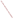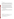### **SULFUR**

### **A. Commodity Summary**

The United States is the world's foremost producer and consumer of sulfur and sulfuric ac id, with production from Frasch, recovered, and byproduct sources. According to the U.S. Bureau of Mines, sulfur (in all forms) was produced at 169 operations in 30 states, Puerto Rico, and the U.S. Virgin Islands for a total shipment value of nearly \$500 million in 1994. Texa s and Louisiana a ccounted for ne arly 50% of dome stic production. Agric ultural chemica ls (fertilizers) accounted for 61% of sulfur demand; organic and inorganic chemicals accounted for 10%; metal mining accounted for 5%; and petroleum refining accounted for 7%. Other miscellaneous uses, accounting for 17% of demand, were widesp read becau se many products p roduced by industry require sulfur in one form or another during some stage of their manufacture.<sup>1</sup>

Sulfur is a non-meta llic element widely use d in industry both as elemental sulfur (brimstone) and as sulfu ric acid. Sulfur production is from three sources: combined sulfur, recovered sulfur, and formed sulfur. Combined sulfur occurs in natural compounds such as iron pyrite, copper sulfides, and gypsum. Recovered sulfur is produced as a byproduct of other proc esses such as oil re fining or air pollution control. Forme d sulfur is elemen tal sulfur cast or pressed into particular shapes to enhance handling and to suppress dust generation and moisture retention.<sup>2</sup>

In 1994, recover ed elemental su lfur was produc ed by 59 compan ies at 150 plants in 26 states, one plant in Puerto Rico, and one plant in the U.S. Virgin Islands. Byproduct sulfuric acid was produced by 16 facilities in 1994.<sup>3</sup> The three companies listed in Exhibit 1 produce the bulk of mined sulfur in the United States. These three companies accounted for 32% of the U.S. production of sulfur in all forms in 1990. All three companies use the Frasch process for sulfur mining. Pen zoil produces sulfur from its Culberson mine in western Texas and is currently engaged in exploration activities in western Texas, the Gulf Coast, and elsewhere. Texasgulf currently operates one mine in Texas (Boling dome), extracting about 40,000 tpy of sulfur. Freeport currently operates two mines in the Gulf Coast.<sup>4</sup> The names and locations of the smaller fa cilities are not available .

### **B. Generalized Process Description**

## **1. Discussion of Typical Production Processes**

Sulfur is mined from both surface an d underground deposits, and is recove red as a byproduc t from a number of industrial processes. In sulfur mining, three techniques are applied: conventional underground methods, conventional open pit methods, an d the Frasch min ing method. About 9 0% of all sulfur min ed is obtained through Frasch mining. <sup>5</sup> Frasch mining and sulfur production from recovered, combined, and formed sulfur are described below in addition to the production proce ss for sulfuric acid.

<sup>1</sup> Joyce Ober, "Sulfur," from Mineral Commodity Summaries, U.S. Bureau of Mines, January 1995, pp. 166-167.

<sup>2</sup> Gregory R. Wessel, "Sulfur Resources," from Industrial Minerals and Rocks, 6th edition, Society for Mining, Metallurgy, and Exploration, 1994, pp. 1011-1046.

<sup>3</sup> Joyce Ober, 1995, Op. Cite., pp. 166-167.

<sup>4</sup> Gregory R. Wessel, 1994, Op. Cit., pp. 1011-1046.

<sup>5</sup> Ibid.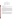## **SUMMARY OF MAJOR PRIMARY SULFUR PROCESSING FACILITIES**

| <b>Facility Name</b> | Location              |
|----------------------|-----------------------|
| Freeport Sulphur Co. | Caminada, offshore LA |
| Penzoil Sulphur Co.  | Culberson, W. TX      |
| Texasgulf Inc.       | Boling TX             |

## **2. Generalized Process Flow**

## Frasch Mining

The Frasch mining process uses hot water to melt sulfur trapped in salt domes. The sulfur is then pumped to the surface and is either sold as a liquid or cooled and solidified into a number of forms for market. Exhibit 2 presents a process flow diagram for the Frasch process.

## Recovered Elemental Sulfur (Claus Process)

Recovered elemental sulfur is a non-discretionary byproduct of petroleum refining, natural gas processing, and coking plants. Recove red sulfur is produ ced primarily to comply with e nvironmental regu lations applicable d irectly to processing facilities or in directly by restricting the sulfur content of fuels sold or used. The princ ipal sources of recovered sulfur are hydrogen sulfide in sour natural gas and organic sulfur compounds in crude oil. Recovery is mainly in the elemental form, although some is converted directly to sulfuric acid. Sulfur in crude oil is recovered during the refining process. Organic sulfur compounds in crude oil are removed from the refinery feed and converted to hydrogen sulfide by a hydrogenation process. The sulfur in natural gas is already in the form of hydrogen sulfide. Hydrogen sulfide from both sources is converted to elemental sulfur by the Claus process. In this process, concentrated hydrogen sulfide is fired in a combustion chamber connected to a waste heat boiler. Air is regulated to the combustion chamber so that part of the hydrogen sulfide is burned to produce sulfur dioxide, water vapor, and sulfur vapor. The high temperature gases are cooled in a waste heat boiler and sulfur is removed in a condenser. The efficiency of the process is raised by adding as many as three further sta ges in which the ga ses leaving the sulfur condenser ar e reheated a nd passed throu gh catalytic converters and additional condensers. Finally, the total gas stream is incinerated to convert all remaining sulfurbearing gases to sulfur dioxide before release to the atmosphere. The sulfur is collected in liquid form. Exhibit 3 presents a process flow diagram for the Claus process.

#### Combined Sulfur

Combined sulfur can be recovered during the smelting of nonferrous sulfides. Sulfur dioxide in the smelter gases is converted to sulfuric acid, liquid sulfur dioxide, or oleum. In the United States, byproduct sulfuric acid from nonferrous meta l smelters and roaste rs supplied abou t 11% of the total dome stic production of sulfur in all forms in 1990. Sulfur may also be re covered from sulfu r dioxide emissions. Re generative or throwa way flue-gas desulfu rization methods may be used either to recover sulfur in a useful form or to dispose of it as solid waste. Both recovery methods may employ wet or dry systems and use a variety of compounds such as limestone, sodium carbonate, and magnesium oxide to neutralize or collect the sulfur dioxide. End products include gypsum, sulfuric acid, liquid sulfur dioxide, and elemental sulfur, all of which can be used if a local market exists. If no local markets exist, large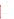# **FRASCH PROCESS**

**Graphic Not Available.**

Source: Multi-Media Assessment of the Inorganic Chemicals Industry, 1980, Chapter 14.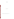**CLAUS PROCESS**

**Graphic Not Available.**

Source: Multi-Media Assessment of the Inorganic Chemicals Industry, 1980, Chapter 14.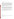quantities of gypsum or sulfuric acid may have to be neutralized or otherwise disposed.<sup>6</sup>

### Formed Sulfur

Formed sulfur may be made in one of several forms, including: flakes, slates, prills, nuggets, granules, pastilles, and briquettes. To produce flakes, the sulfur is cooled and solidified on the outside of large rotating drums, from which it peels off into small flakes. To produce slate s, molten sulfur is cast onto a continuous conveyer belt and is cooled with a ir or water so that it solidifies into a thin sheet. As the slate reaches the e nd of the belt, the she et breaks into smaller pieces. Sulfur prilling can be accomplished with air or water. In air prilling, molten sulfur is sprayed from the top of a tower against an upward flow of air. As it falls, the sulfur breaks into small droplets and cools into prills. In water prilling, the sulfur is sprayed into tanks containing water, from which the prills are collected and dried. Minor modifications to prilling techniques a re used to produc e nuggets. Gran ulation involves applying succ essive coats of sulfur to solid particles of sulfur in a granulator until the particle size reaches the required diameter. In the Procor GX granulation process, liquid sulfur is sprayed into a rotating drum in which small seed particles of sulfur are recycled from the end of the process. Pastilles are individual droplets of molten sulfur that have been dropped on a steel belt and cooled by conduction. The Sandvik Rotoform proc ess uses a paten ted Rotoformer to distribu te the sulfur on the be lt. At the end of the belt, the pastilles are scraped off and fall onto a collecting conveyer.<sup>7</sup>

### Sulfuric Acid

Sulfuric acid is usually produced near consumption sites. To produce sulfuric acid, elemental sulfur or any number of sulfur-bearing materials are burned. The resulting sulfur dioxide is mixed with additional air or oxygen and passed through a packed bed of supported vanadium pentoxide catalyst. The sulfur dioxide is converted to sulfur trioxide. The gases emerging from the catalytic reactor are cooled and absorbed in 98-99% sulfuric acid to generate 98- 99% acid. Plants can be either single or double absorption units. In double absorption units, tail gases from the initial absorption step are mixed with additional sulfur dioxide, reheated and passed through another catalytic reactor to form additional sulfur trioxide. This material is cooled and absorbed in a second stream of sulfuric acid to generate additional 98-99% sulfuric acid. Exhibit 4 presents a process flow diagram for the production of sulfuric acid.<sup>8</sup>

The process is modified somewhat if feed materials other than pure sulfur are used. Materials such as spent sulfuric acid, hydrogen sulfide, and off-gas es from smelters are also used for the manufacture of sulfuric acid<sup>9</sup>

If spent acid is the feed material, it is thermally decomposed to yield a gas stream containing sulfur dioxide, small amounts of sulfur trioxide, water vapor, and small amounts of organic materials. The gas stream is cooled or the sulfuric acid is scrubbed to condense out water and organics, and is then demisted to remove residual water. The purified sulfur dioxide gas stream is reheated, mixed with additional air or oxygen, and sent to catalytic converters. The process proceeds from this point as it does with pure sulfur as the feed.<sup>10</sup>

<sup>6</sup> Ibid.

7 Ibid.

<sup>8</sup> U.S. Environmental Protection Agency, Multi-Media Assessment of the Inorganic Chemicals Industry, Vol. III, 1980, Chapter 14.

<sup>9</sup> Ibid.

 $10$  Ibid.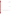**SULFURIC ACID PRODUCTION**

**Graphic Not Available.**

Source: Multi-Media Assessment of the Inorganic Chemicals Industry, 1980, Chapter 14.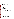When smelter or pyrite roasting off-gases containing sulfur dioxide are used as the feed material, the gas stream is passed through a series of dry filtration device s to remove entraine d particulate ma tter. The gas is cooled to remove water vapor before it can be used in the process.<sup>1</sup>

Sulfur from pyrite is produced by roasting the iron sulfide to produce sulfur dioxide gas and iron oxide solid. The gas is treated to produce either e lemental sulfur or sulfuric acid and the iron oxide is sold as feed for iron making. There are no wastes from this process.<sup>12</sup>

## **3. Identification/Discu ssion of Nov el (or otherw ise distinct) Process(es)**

There has been sporadic production of elemental sulfur from volcanic deposits in the western United States, but the selective mining techniques used would eliminate the generation of wastes.<sup>1</sup>

## **4. Beneficiation/Processing Boundaries**

## Frasch Processing

Based on a re view of this process, the re are no miner al processing opera tions involved in the produc tion of sulfur via the Frasch proces.

## Claus Process and Combined Sulfur

Based on EPA's review of these processes, both were determined to start with sulfur recovered from other operations such as petroleum refining and other mineral smelting operations and as such, are completely outside the scope of the Mining Waste Exclusion.

## **C. Process W aste Streams**

### **1. Extraction/Beneficiation Wastes**

Based on existing d ata and best en gineering judgement, none of the wa stes listed below from su lfur production are expecte d to exhibit charac teristics of hazardou s waste. There fore, the Agenc y did not evaluate these materials further.

### Frasch Process Wastestreams

**Wastewater**. Wastewater from Frasch mining may contain 600 to 1,000 ppm dissolved sulfides and 14,000 to 60,000 ppm of dissolved chlorides. Bleed water retrieved from the formation is produced in amounts ranging from 38,000,000 to 1.6 billion liters per day. Well seal water is generated in amounts ranging from 5,000 to 20,000 liters per day and contains up to 60 ppm dissolved sulfides. At anhydrite plants, seal water and water recovered from the formation are treated and reused. At off-shore salt dome plants, bleed water and seal water are combined and discharged without further treatment. At on-shore facilities, bleed water, area runoff, seal water, and other wastewater are combined and sent to aeration lagoons. There, sulfides are oxidized to sulfates and thiosulfates. The sulfide content of the raw effluent is reduced from the range of 600 to 1,000 ppm to the range of 10 to 40 ppm prior to discharge.<sup>14</sup>

**Air emissions**. Emissions from the mine, generated during sulfur recovery, may contain hydrogen sulfide. The hydrogen sulfide fugitive emissions may range from 0 to 5 kg per kkg of product.<sup>15</sup>

 $11$  Ibid.

 $12$  Ibid.

<sup>13</sup> U.S. Environmental Protection Agency, "Sulfur," from 1988 Final Draft Summary Report of Mineral Industry Processing Wastes, 1988, pp. 2-55 - 2-56.

<sup>14</sup> U.S. Environmental Protection Agency, 1980, Op. Cit, Chapter 14.

 $15$  Ibid.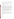**Sludge.** Calcium carb onate sludge is generated by water pre treatment and ranges from 9 to 15 kg per kkg of product. The calcium carbonate water treatment sludge is recovered and reused. At anhydrite plants, it is used as drilling mud.

Filter cake. At salt dome plants, about 3.5 kg per kkg of product of waste filter cakes from sulfur filtration are generated. At salt dome facilities, filter cakes from sulfur purification are stored for future recovery of additional product.

Miscellaneous wastes such as **residues** and **spilled sulfur** are generated from the Frasch process. After processing, residues are landfilled.

## **2. Mineral Processing Wastes**

Based on existing data and best engineering judgement, the wastes listed below from sulfur production and sulfuric acid production are not primary mineral processing wastes. Therefore, the Agency did not evaluate these materials further.

### Claus Process

**Tail gases.** An airborne waste from product recovery is generated and contains unconverted hydrogen sulfide gas ranging from 5,00 0 to 12,000 ppm, 30 0 to 500 ppm car bon disulfide, 300 to 5 ,000 ppm carb on oxysulfide, and up to 200 ppm sulfur vapor. (The carbon disulfide and carbon oxysulfide are produced by side reactions of organic compounds present in the feed stream and sulfur dioxide generated in the process.) From 950 to 4,400 cubic meters of tail gases are produced per kkg of sulfur product.<sup>16</sup> Tail gases are typically recovered and processed to recycle sulfur compounds. There are several methods used to recover sulfur compounds from these gases. The processes are described brie fly below.

The SCOT process reconve rts sulfur compoun ds in tail gases to hydrogen su lfide. This stream is sc rubbed from the tail gases with amine solution, the regeneration of which releases a purified hydrogen sulfide which is recycled to the Claus process. This process recovers over 98% of the sulfur compounds in the tail gases.<sup>17</sup>

The Beavon and Stretford processes are also used to recover sulfur from tail gases. The Beavon proce ss catalytically reduces sulfur oxides to hydrogen sulfide and the Stretford process removes the hydrogen sulfide by absorption in an amine solvent. Regene ration of the solvent relea ses a purified hydr ogen sulfide which is converted to sulfur. About 98% removal of sulfur compounds from the tail gases is achieved.<sup>18</sup>

The Citrate process, developed by the Bureau of Mines, and the Wellman Lord process are used to recover most sulfur compounds from the tail gases as sulfur. These processes involve reduction of the sulfur dioxide present in the tail gases to sulfur.<sup>19</sup>

**Spent cataly sts.** Spent catalysts are recycled or landfilled.<sup>20</sup>

## Sulfuric Acid P roduction

**Airborne emissions** from double absorption plants range from 0.5 to 3 kg per kkg of sulfur dioxide and from 0.1 to 0.15 kg per kkg of sulfuric acid mists. The h igh end of the range represents plan ts using wet feed ma terials. Emissions from single absorption plants are controlled in one of five ways: (1) demisters and wet scrubbers, (2) scrubbing with aqueous ammonia solutions, (3) the Wellman Lord process, (4) molecular sieves to absorb sulfur dioxide, and  $(5)$  no control.<sup>21</sup>

18 Ibid.

- 19 Ibid.
- $20$  Ibid.
- $21$  Ibid.

<sup>16</sup> Ibid.

<sup>17</sup> Ibid.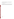Wastewater. This wastewater includes wastewater from wet scrubbing, spilled product, and condensates. This waste contains dissolved sulfur dioxide and sulfuric acid values. This wastewater is usually neutralized and lagooned to settle suspended solids prior to discharge.<sup>22</sup>

**Spent catalyst.** Spent catalyst, generally vanadium pentoxide, are usually landfilled and sometimes reprocessed.<sup>23</sup>

## **D. Ancillary Hazardous Wastes**

Ancillary haza rdous wastes ma y be generated a t on-site laboratories, and may include used c hemicals and liq uid samples. Other hazardous wastes may include spent solvents (e.g., petroleum naptha), acidic tank cleaning wastes, and polychlorinated biphe nyls from electrical tran sformers and c apacitors. Non-ha zardous waste s may include tires from trucks and large machinery, sanitary sewage, waste oil (which may or may not be hazardous) and other lubricants.

 $^{23}$  Ibid.